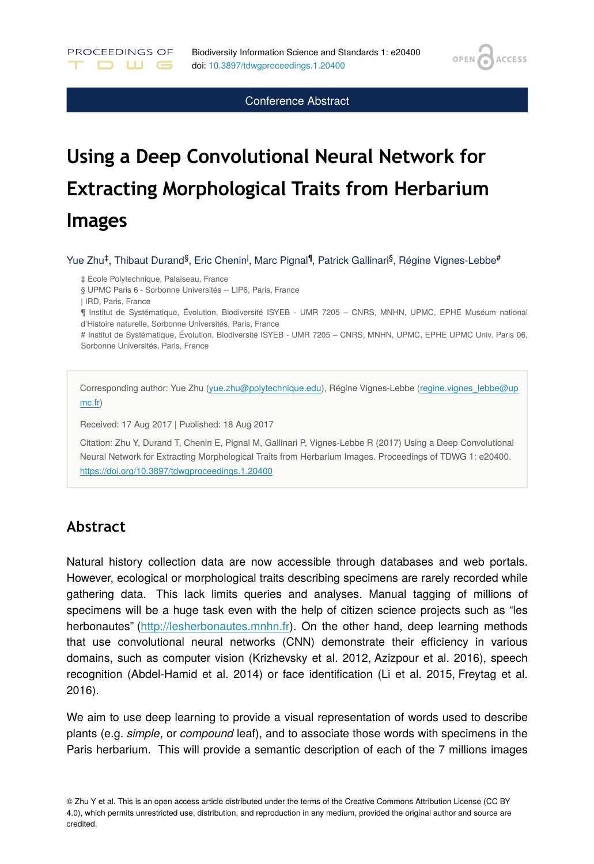**OPEN** 

**ACCESS** 

Conference Abstract

# **Using a Deep Convolutional Neural Network for Extracting Morphological Traits from Herbarium Images**

Yue Zhu<sup>‡</sup>, Thibaut Durand<sup>§</sup>, Eric Chenin<sup>|</sup>, Marc Pignal<sup>¶</sup>, Patrick Gallinari<sup>§</sup>, Régine Vignes-Lebbe<sup>#</sup>

‡ Ecole Polytechnique, Palaiseau, France

§ UPMC Paris 6 - Sorbonne Universités -- LIP6, Paris, France

| IRD, Paris, France

PROCEEDINGS OF

D W G

¶ Institut de Systématique, Évolution, Biodiversité ISYEB - UMR 7205 – CNRS, MNHN, UPMC, EPHE Muséum national d'Histoire naturelle, Sorbonne Universités, Paris, France

# Institut de Systématique, Évolution, Biodiversité ISYEB - UMR 7205 – CNRS, MNHN, UPMC, EPHE UPMC Univ. Paris 06, Sorbonne Universités, Paris, France

Corresponding author: Yue Zhu ([yue.zhu@polytechnique.edu\)](mailto:yue.zhu@polytechnique.edu), Régine Vignes-Lebbe [\(regine.vignes\\_lebbe@up](mailto:regine.vignes_lebbe@upmc.fr) [mc.fr](mailto:regine.vignes_lebbe@upmc.fr))

Received: 17 Aug 2017 | Published: 18 Aug 2017

Citation: Zhu Y, Durand T, Chenin E, Pignal M, Gallinari P, Vignes-Lebbe R (2017) Using a Deep Convolutional Neural Network for Extracting Morphological Traits from Herbarium Images. Proceedings of TDWG 1: e20400. <https://doi.org/10.3897/tdwgproceedings.1.20400>

### **Abstract**

Natural history collection data are now accessible through databases and web portals. However, ecological or morphological traits describing specimens are rarely recorded while gathering data. This lack limits queries and analyses. Manual tagging of millions of specimens will be a huge task even with the help of citizen science projects such as "les herbonautes" ([http://lesherbonautes.mnhn.fr\)](http://lesherbonautes.mnhn.fr/). On the other hand, deep learning methods that use convolutional neural networks (CNN) demonstrate their efficiency in various domains, such as computer vision (Krizhevsky et al. 2012, Azizpour et al. 2016), speech recognition (Abdel-Hamid et al. 2014) or face identification (Li et al. 2015, Freytag et al. 2016).

We aim to use deep learning to provide a visual representation of words used to describe plants (e.g. *simple*, or *compound* leaf), and to associate those words with specimens in the Paris herbarium. This will provide a semantic description of each of the 7 millions images

© Zhu Y et al. This is an open access article distributed under the terms of the Creative Commons Attribution License (CC BY 4.0), which permits unrestricted use, distribution, and reproduction in any medium, provided the original author and source are credited.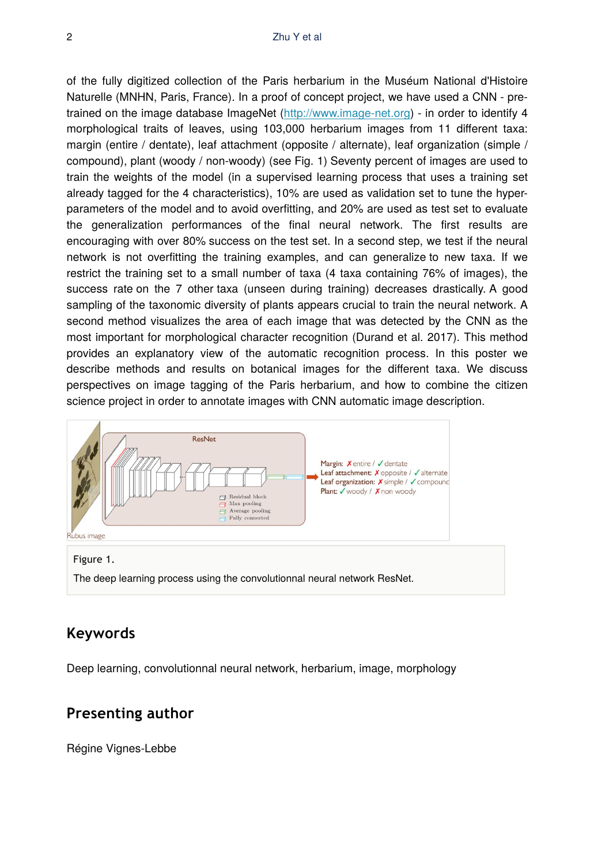of the fully digitized collection of the Paris herbarium in the Muséum National d'Histoire Naturelle (MNHN, Paris, France). In a proof of concept project, we have used a CNN - pretrained on the image database ImageNet [\(http://www.image-net.org\)](http://www.image-net.org) - in order to identify 4 morphological traits of leaves, using 103,000 herbarium images from 11 different taxa: margin (entire / dentate), leaf attachment (opposite / alternate), leaf organization (simple / compound), plant (woody / non-woody) (see Fig. 1) Seventy percent of images are used to train the weights of the model (in a supervised learning process that uses a training set already tagged for the 4 characteristics), 10% are used as validation set to tune the hyperparameters of the model and to avoid overfitting, and 20% are used as test set to evaluate the generalization performances of the final neural network. The first results are encouraging with over 80% success on the test set. In a second step, we test if the neural network is not overfitting the training examples, and can generalize to new taxa. If we restrict the training set to a small number of taxa (4 taxa containing 76% of images), the success rate on the 7 other taxa (unseen during training) decreases drastically. A good sampling of the taxonomic diversity of plants appears crucial to train the neural network. A second method visualizes the area of each image that was detected by the CNN as the most important for morphological character recognition (Durand et al. 2017). This method provides an explanatory view of the automatic recognition process. In this poster we describe methods and results on botanical images for the different taxa. We discuss perspectives on image tagging of the Paris herbarium, and how to combine the citizen science project in order to annotate images with CNN automatic image description.



### **Keywords**

Deep learning, convolutionnal neural network, herbarium, image, morphology

### **Presenting author**

Régine Vignes-Lebbe